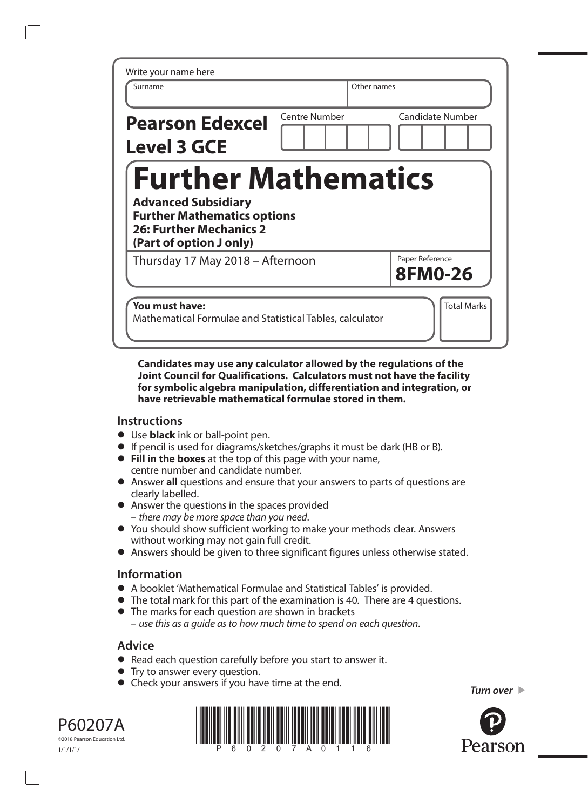| Write your name here                                                                                                                                        |                      |                                   |
|-------------------------------------------------------------------------------------------------------------------------------------------------------------|----------------------|-----------------------------------|
| Surname                                                                                                                                                     |                      | Other names                       |
| <b>Pearson Edexcel</b><br><b>Level 3 GCE</b>                                                                                                                | <b>Centre Number</b> | <b>Candidate Number</b>           |
| <b>Further Mathematics</b><br><b>Advanced Subsidiary</b><br><b>Further Mathematics options</b><br><b>26: Further Mechanics 2</b><br>(Part of option J only) |                      |                                   |
| Thursday 17 May 2018 - Afternoon                                                                                                                            |                      | Paper Reference<br><b>8FM0-26</b> |
| You must have:<br>Mathematical Formulae and Statistical Tables, calculator                                                                                  |                      | <b>Total Marks</b>                |

## **Candidates may use any calculator allowed by the regulations of the Joint Council for Qualifications. Calculators must not have the facility for symbolic algebra manipulation, differentiation and integration, or have retrievable mathematical formulae stored in them.**

## **Instructions**

- **•** Use **black** ink or ball-point pen.
- **•** If pencil is used for diagrams/sketches/graphs it must be dark (HB or B).
- **• Fill in the boxes** at the top of this page with your name, centre number and candidate number.
- **•** Answer **all** questions and ensure that your answers to parts of questions are clearly labelled.
- **•** Answer the questions in the spaces provided – *there may be more space than you need*.
- **•** You should show sufficient working to make your methods clear. Answers without working may not gain full credit.
- **•** Answers should be given to three significant figures unless otherwise stated.

## **Information**

- **•** A booklet 'Mathematical Formulae and Statistical Tables' is provided.
- **•** The total mark for this part of the examination is 40. There are 4 questions.
- **•** The marks for each question are shown in brackets – *use this as a guide as to how much time to spend on each question*.

## **Advice**

- **•** Read each question carefully before you start to answer it.
- **•** Try to answer every question.
- **•** Check your answers if you have time at the end.







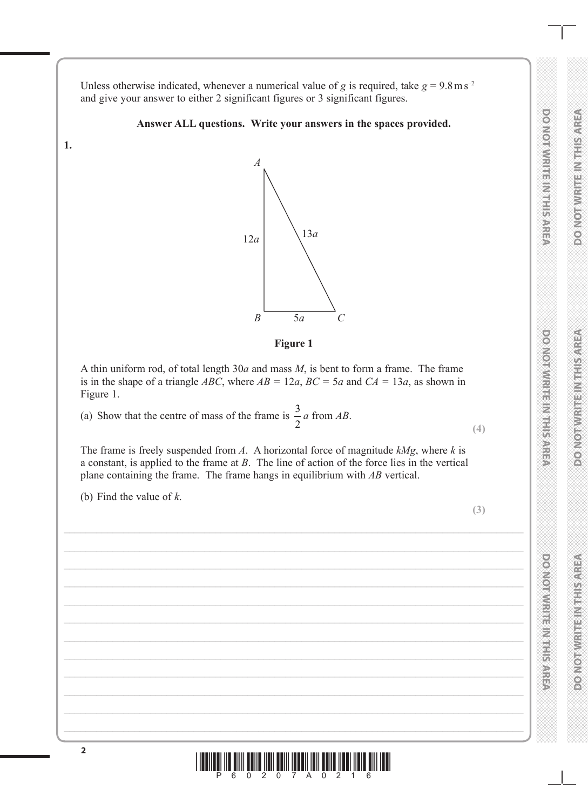**DO NOT WRITE IN THIS AREA DO NOT WRITE IN THIS AREA DO NOT WRITE IN THIS AREA BOOKOTAWRITENMIESARE** 

**DO NOT WRITE IN THIS AREA** 

**DO NOTWRITE IN THE AREA** 

**DO NOT WRITE IN THIS AREA**

**DONORWICH HER VEHICLES** 

**DO NOT WRITE IN THIS AREA**

**PONDERN MEDIAN STREET STREET** 

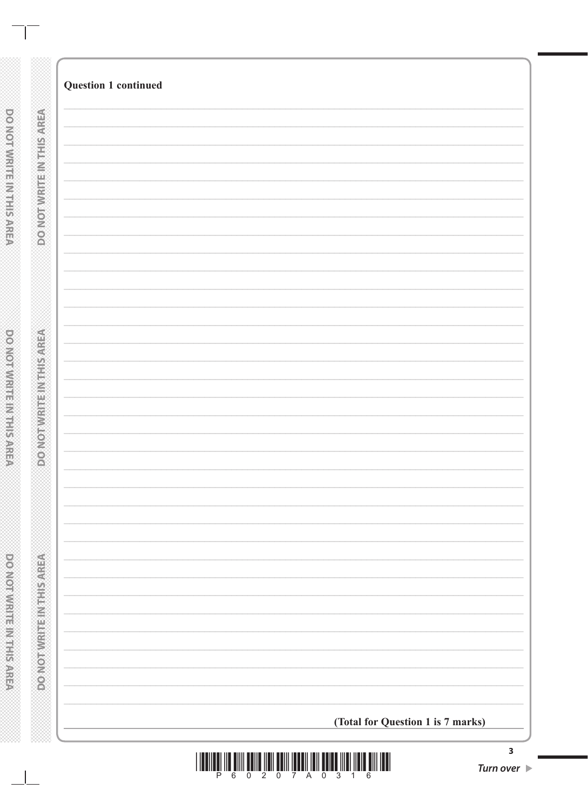| <b>Question 1 continued</b>       |  |
|-----------------------------------|--|
|                                   |  |
|                                   |  |
|                                   |  |
|                                   |  |
|                                   |  |
|                                   |  |
|                                   |  |
|                                   |  |
|                                   |  |
|                                   |  |
|                                   |  |
|                                   |  |
|                                   |  |
|                                   |  |
|                                   |  |
|                                   |  |
|                                   |  |
|                                   |  |
|                                   |  |
|                                   |  |
|                                   |  |
|                                   |  |
|                                   |  |
|                                   |  |
|                                   |  |
|                                   |  |
|                                   |  |
|                                   |  |
|                                   |  |
| (Total for Question 1 is 7 marks) |  |
|                                   |  |



 $\blacksquare$ 

**DO NOT WRITER IN THE REAL PARTS** 

⋙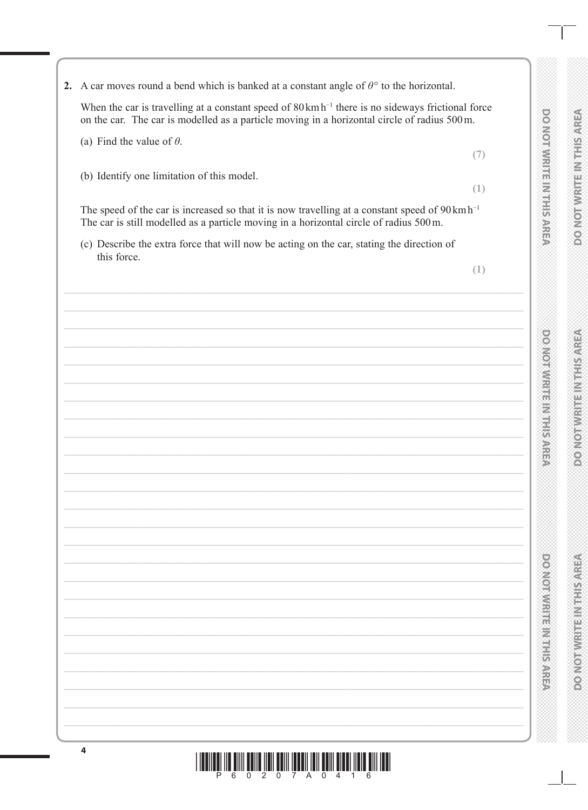

2. A car moves round a bend which is banked at a constant angle of  $\theta$ ° to the horizontal.

When the car is travelling at a constant speed of  $80 \text{ km h}^{-1}$  there is no sideways frictional force on the car. The car is modelled as a particle moving in a horizontal circle of radius 500 m.

- (a) Find the value of  $\theta$ .
- (b) Identify one limitation of this model.

The speed of the car is increased so that it is now travelling at a constant speed of  $90 \text{ km h}^{-1}$ The car is still modelled as a particle moving in a horizontal circle of radius 500m.

<u>6 0 2 0 7 A 0 4 1 6</u>

(c) Describe the extra force that will now be acting on the car, stating the direction of this force.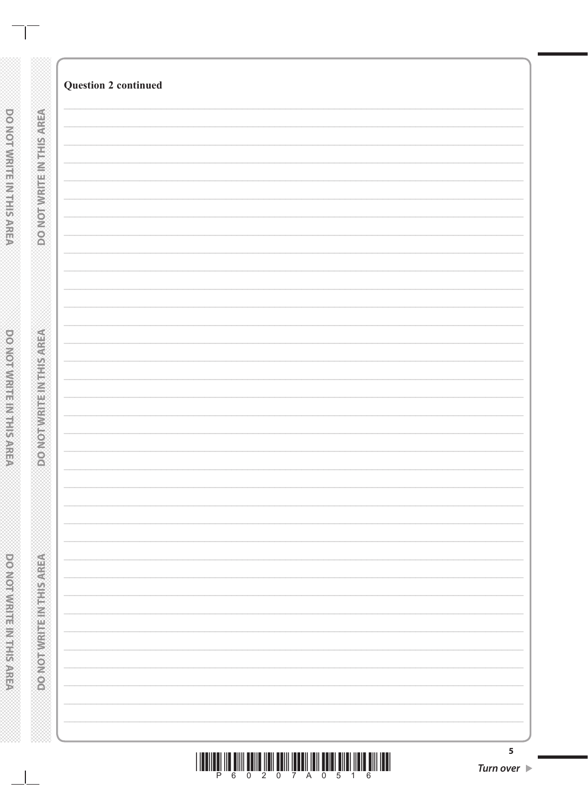|  | P 6 0 2 0 7 A 0 5 1 6 |  |  |  |  |  |
|--|-----------------------|--|--|--|--|--|

| 5            |  |
|--------------|--|
| Turn over  ▶ |  |

| <b>DONO WHITINGS</b>      |  |
|---------------------------|--|
|                           |  |
|                           |  |
|                           |  |
|                           |  |
|                           |  |
|                           |  |
|                           |  |
|                           |  |
|                           |  |
|                           |  |
|                           |  |
|                           |  |
|                           |  |
|                           |  |
|                           |  |
|                           |  |
|                           |  |
|                           |  |
|                           |  |
|                           |  |
|                           |  |
|                           |  |
|                           |  |
|                           |  |
|                           |  |
|                           |  |
|                           |  |
|                           |  |
|                           |  |
|                           |  |
|                           |  |
|                           |  |
|                           |  |
|                           |  |
| <b>DOMOTHER ETHIOPICS</b> |  |
|                           |  |
|                           |  |
|                           |  |
|                           |  |
|                           |  |
|                           |  |
|                           |  |
|                           |  |
|                           |  |
|                           |  |
|                           |  |
|                           |  |
|                           |  |
|                           |  |
|                           |  |
|                           |  |
|                           |  |
|                           |  |
|                           |  |
|                           |  |
|                           |  |
|                           |  |
|                           |  |
|                           |  |
|                           |  |
|                           |  |
|                           |  |
|                           |  |
|                           |  |
|                           |  |
|                           |  |
|                           |  |
|                           |  |
|                           |  |
|                           |  |
|                           |  |
|                           |  |
|                           |  |
|                           |  |
|                           |  |
|                           |  |
|                           |  |
|                           |  |
|                           |  |
|                           |  |
|                           |  |
|                           |  |
|                           |  |
|                           |  |
|                           |  |
|                           |  |
| <b>DOMORAGE REGISTER</b>  |  |
|                           |  |
|                           |  |
|                           |  |
|                           |  |
|                           |  |
|                           |  |
|                           |  |
|                           |  |

DO NOT WRITE IN THIS AREA

 $\mathbb{R}^2$ 

**Question 2 continued** 

**DO NOTWRITEINING** 

powerware marketware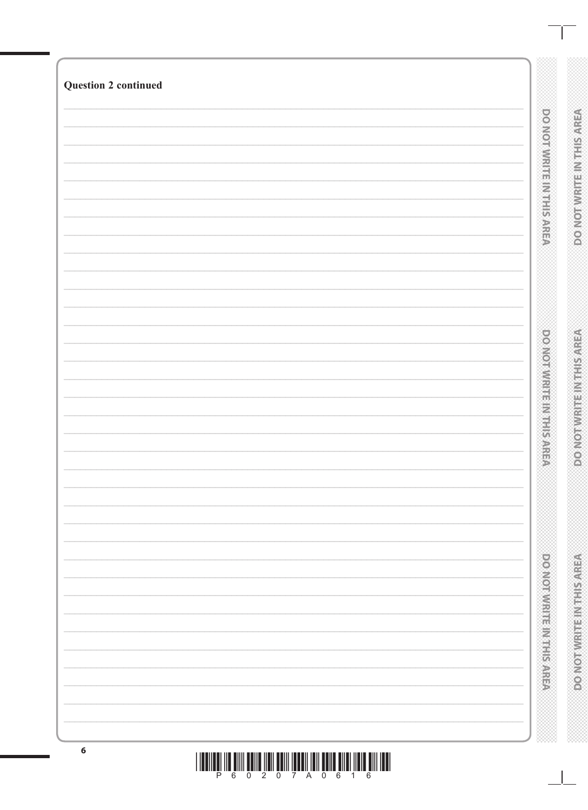| <b>DOMORATION IS NOT THE STATE</b><br><b>DOMORATION CONSULTANCE</b> | <b>Question 2 continued</b> | DO NOI WALLET MARINE | DO NOT WRITE IN THIS AREA      |
|---------------------------------------------------------------------|-----------------------------|----------------------|--------------------------------|
|                                                                     |                             |                      | <b>DOMOT WRITE INTHIS AREA</b> |
|                                                                     |                             |                      | <b>DONORUGE REGISTED</b>       |

<u>THENILËTINË NIM ËRIN ÎTEN ÊRIN ÎTENÎ ÎTIN ÊRIN ÎNENË ÎNIN ITEN</u>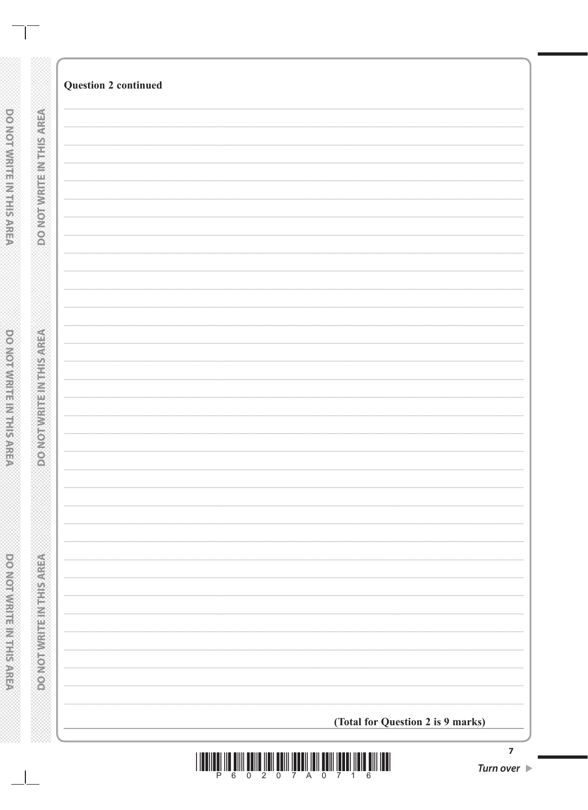| <b>Question 2 continued</b> |                                   |  |
|-----------------------------|-----------------------------------|--|
|                             |                                   |  |
|                             |                                   |  |
|                             |                                   |  |
|                             |                                   |  |
|                             |                                   |  |
|                             |                                   |  |
|                             |                                   |  |
|                             |                                   |  |
|                             |                                   |  |
|                             |                                   |  |
|                             |                                   |  |
|                             |                                   |  |
|                             |                                   |  |
|                             |                                   |  |
|                             |                                   |  |
|                             |                                   |  |
|                             |                                   |  |
|                             |                                   |  |
|                             |                                   |  |
|                             |                                   |  |
|                             |                                   |  |
|                             |                                   |  |
|                             |                                   |  |
|                             |                                   |  |
|                             |                                   |  |
|                             |                                   |  |
|                             |                                   |  |
|                             |                                   |  |
|                             |                                   |  |
|                             | (Total for Question 2 is 9 marks) |  |



**DOOMOTIVIRE INTERNATION** 

**DO NOT WRITER IN THE REAL PARTS**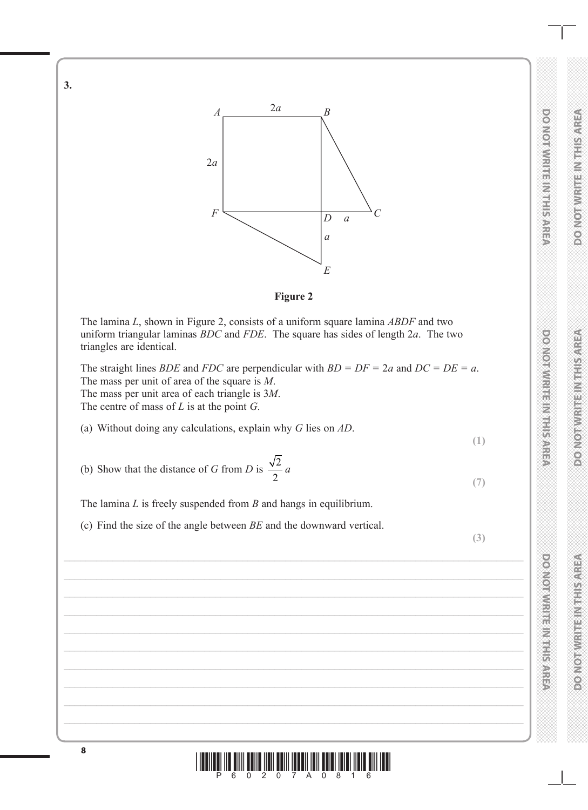

 $A \longrightarrow 2a \longrightarrow B$ 

**3.**

**DO NOT WRITE IN THIS AREA DO NOT WRITE IN THIS AREA DO NOT WRITE IN THIS AREA BOOKOTAWRITENMIESARE** 

**DO NOT WRITE IN THIS AREA** 

**DO NOTWRITE IN THE AREA** 

**DO NOT WRITE IN THIS AREA**

**DO NOIMMENTERNETS** 

**MONORADE REPAIRING A** 

**DO NOT WRITE IN THIS AREA**

**POSTORY IN STREET AND THE STREET** 

**RESISTED IN A PARTICULAR DIVISION**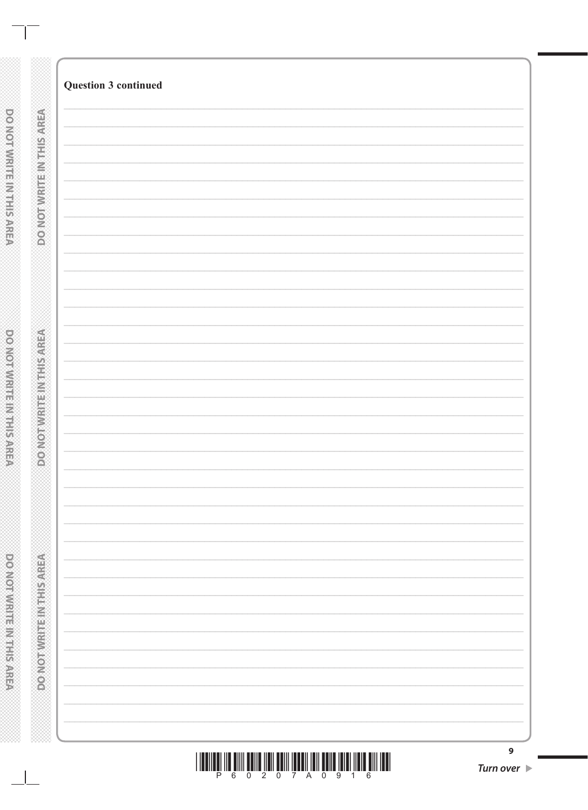| IIII |  | <u> ANI TANA NA FINITA NA MATATA NA MATATIKA NA MATATIKA NA MATATIKA NA MATATIKA NA MATATIKA NA MATATIKA NA MATAT</u> |  |
|------|--|-----------------------------------------------------------------------------------------------------------------------|--|
|      |  |                                                                                                                       |  |

| Turn over D |  |
|-------------|--|

 $\mathbf{9}$ 

| ý              |  |
|----------------|--|
| ý              |  |
|                |  |
|                |  |
|                |  |
| ý              |  |
| B              |  |
|                |  |
|                |  |
|                |  |
| S              |  |
|                |  |
|                |  |
|                |  |
|                |  |
|                |  |
|                |  |
| í              |  |
| 鴨              |  |
| é              |  |
|                |  |
|                |  |
|                |  |
| ý              |  |
| ă              |  |
| ý              |  |
|                |  |
| ś              |  |
|                |  |
|                |  |
|                |  |
|                |  |
|                |  |
|                |  |
|                |  |
|                |  |
|                |  |
|                |  |
| i<br>í         |  |
|                |  |
|                |  |
|                |  |
| m              |  |
|                |  |
|                |  |
|                |  |
| ý              |  |
| t              |  |
| î<br>ý         |  |
|                |  |
| ý              |  |
| ¥              |  |
|                |  |
| ٠              |  |
|                |  |
|                |  |
| ś              |  |
|                |  |
|                |  |
|                |  |
| ä              |  |
| ï              |  |
|                |  |
| î              |  |
|                |  |
| ì              |  |
|                |  |
|                |  |
|                |  |
|                |  |
| ś              |  |
|                |  |
|                |  |
| ì              |  |
|                |  |
|                |  |
|                |  |
| $\overline{ }$ |  |

DONOTWRITE INTHISAREA

**Question 3 continued** 

**DONOTWRITEINTHISAREA**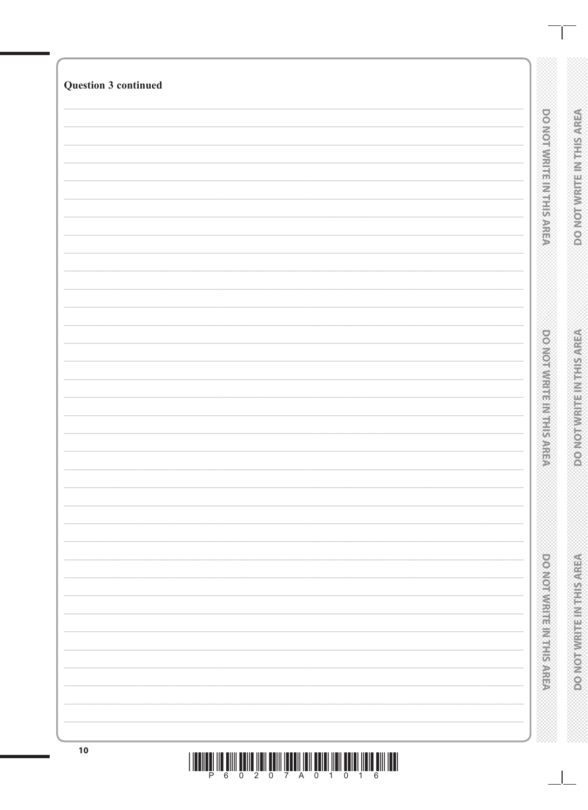| <b>Question 3 continued</b> |                                                      |                                    |
|-----------------------------|------------------------------------------------------|------------------------------------|
|                             |                                                      |                                    |
|                             | <b>DONORMENT IN THE SARD</b>                         | <b>DONOTWRITEINTHSAREA</b>         |
|                             |                                                      |                                    |
|                             |                                                      |                                    |
|                             |                                                      |                                    |
|                             |                                                      |                                    |
|                             |                                                      |                                    |
|                             |                                                      |                                    |
|                             |                                                      |                                    |
|                             |                                                      |                                    |
|                             |                                                      |                                    |
|                             |                                                      |                                    |
|                             |                                                      |                                    |
|                             | <b>DOMOTIVE IN THE MERICAN SARE</b>                  | <b>ROMORWISH MIRANGER</b>          |
|                             |                                                      |                                    |
|                             |                                                      |                                    |
|                             |                                                      |                                    |
|                             |                                                      |                                    |
|                             |                                                      |                                    |
|                             |                                                      |                                    |
|                             |                                                      |                                    |
|                             |                                                      |                                    |
|                             |                                                      |                                    |
|                             | <b>Production in the production of the component</b> | <b>PORTORY OF BURGLION CONTROL</b> |
|                             |                                                      |                                    |
|                             |                                                      |                                    |
|                             |                                                      |                                    |
|                             |                                                      |                                    |
| 10                          |                                                      |                                    |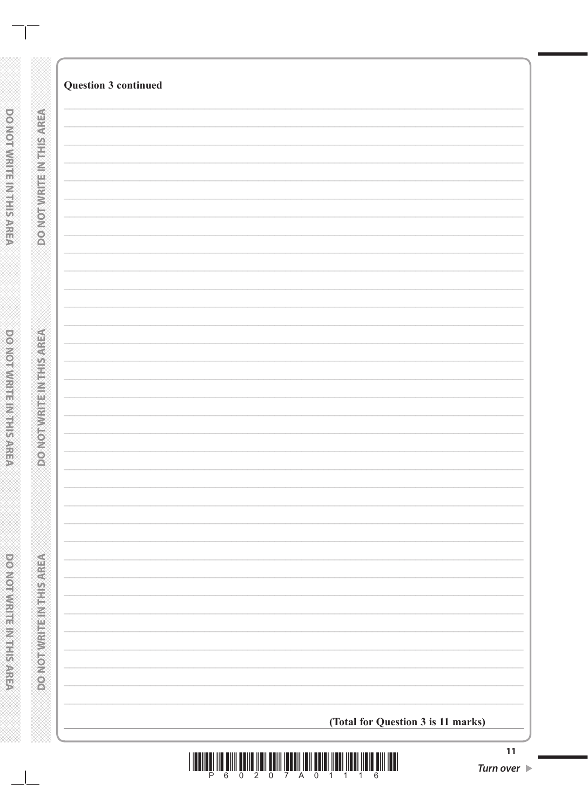|                                | <b>Question 3 continued</b>        |  |
|--------------------------------|------------------------------------|--|
|                                |                                    |  |
|                                |                                    |  |
|                                |                                    |  |
|                                |                                    |  |
|                                |                                    |  |
| <b>DO NOTWRITEINTRISAREA</b>   |                                    |  |
|                                |                                    |  |
|                                |                                    |  |
|                                |                                    |  |
|                                |                                    |  |
|                                |                                    |  |
|                                |                                    |  |
|                                |                                    |  |
|                                |                                    |  |
|                                |                                    |  |
|                                |                                    |  |
|                                |                                    |  |
|                                |                                    |  |
|                                |                                    |  |
|                                |                                    |  |
|                                |                                    |  |
|                                |                                    |  |
|                                |                                    |  |
|                                |                                    |  |
|                                |                                    |  |
|                                |                                    |  |
|                                |                                    |  |
|                                |                                    |  |
|                                |                                    |  |
|                                |                                    |  |
|                                |                                    |  |
|                                |                                    |  |
| <b>CONORADO DE LA CONSOLA</b>  |                                    |  |
|                                |                                    |  |
|                                |                                    |  |
|                                |                                    |  |
| Ø                              |                                    |  |
|                                |                                    |  |
|                                |                                    |  |
|                                |                                    |  |
|                                |                                    |  |
|                                |                                    |  |
|                                |                                    |  |
|                                |                                    |  |
|                                |                                    |  |
|                                |                                    |  |
|                                |                                    |  |
|                                |                                    |  |
|                                |                                    |  |
|                                |                                    |  |
|                                |                                    |  |
|                                |                                    |  |
|                                |                                    |  |
|                                |                                    |  |
| <b>DO NOTWERF IN THIS AREA</b> |                                    |  |
|                                |                                    |  |
|                                |                                    |  |
|                                |                                    |  |
|                                |                                    |  |
|                                |                                    |  |
|                                |                                    |  |
|                                |                                    |  |
|                                |                                    |  |
|                                | (Total for Question 3 is 11 marks) |  |

DOMOTWRITE IN THIS AREA

**DO NOT WRITE INTHIS AREA** 

DO NOT WRITE IN THE RACEA

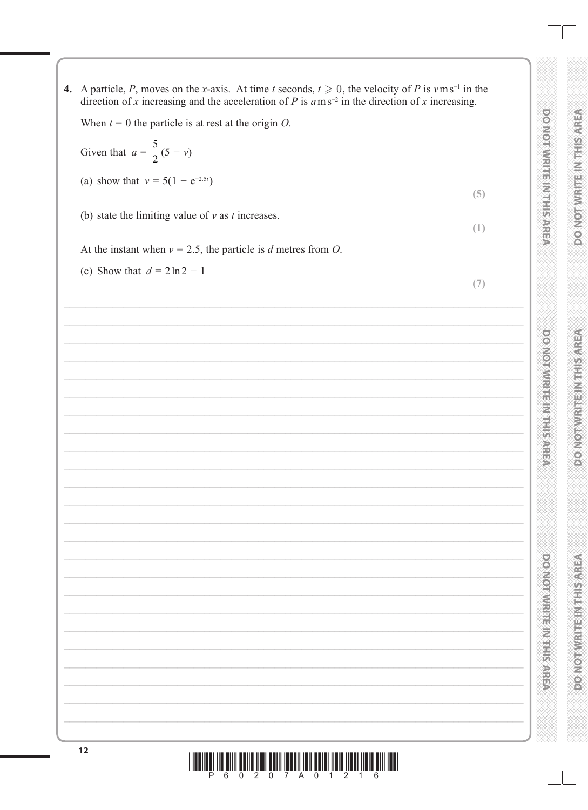4. A particle, P, moves on the x-axis. At time t seconds,  $t \ge 0$ , the velocity of P is  $v \text{ m s}^{-1}$  in the direction of x increasing and the acceleration of P is  $a$  m s<sup>-2</sup> in the direction of x increasing. When  $t = 0$  the particle is at rest at the origin O. Given that  $a = \frac{5}{2}(5 - v)$ (a) show that  $v = 5(1 - e^{-2.5t})$  $(5)$ (b) state the limiting value of  $v$  as  $t$  increases.  $(1)$ At the instant when  $v = 2.5$ , the particle is d metres from O. (c) Show that  $d = 2 \ln 2 - 1$  $(7)$ 

**DO NOIAMHUE IN HIS AREA** 

**PONOTNIRHEINSISSARE** 

**POSTORY IN STREET AND THE STREET** 

**DOMORAMENTS NEEDS AREA** 

**RESIVERING IN THE REAL PROPERTY** 

**DO NOTWRITEINTH SAREA**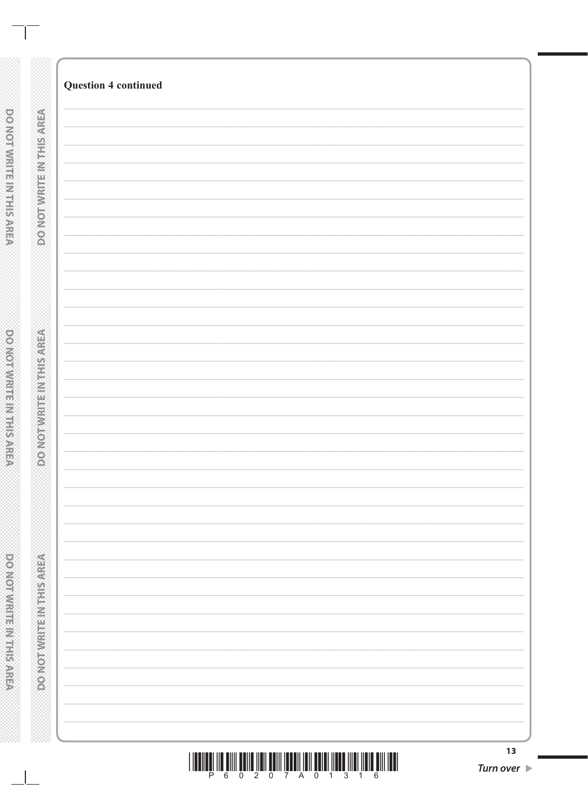| <b>MONOTHER RESIDENCE</b>                     |  |
|-----------------------------------------------|--|
|                                               |  |
|                                               |  |
| <b>RECIVED TRANSPORTED AND LOCAL CONTRACT</b> |  |
|                                               |  |
|                                               |  |
|                                               |  |
|                                               |  |
| <b>DONOTWRITEINTHISMREA</b>                   |  |
|                                               |  |
|                                               |  |

 $\mathbb{R}^2$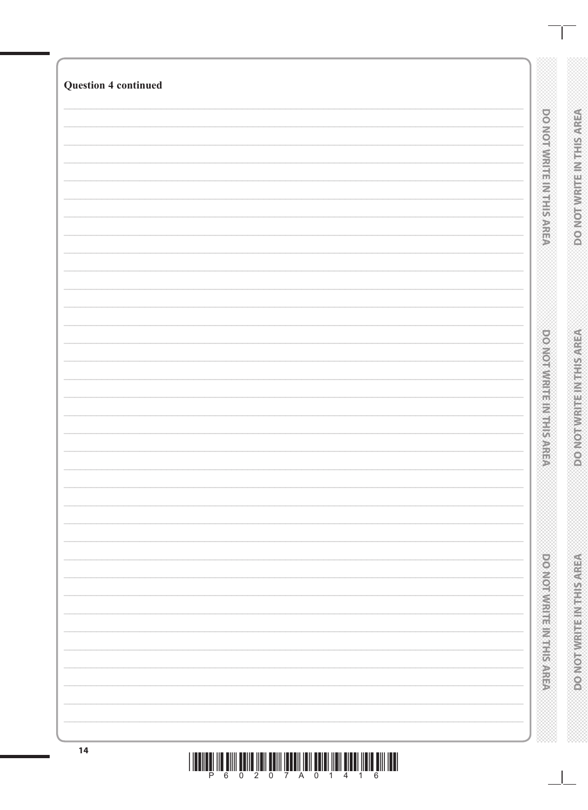| <b>Question 4 continued</b> |  |  |                                              |                                 |
|-----------------------------|--|--|----------------------------------------------|---------------------------------|
|                             |  |  | po vonvivine in maker                        | DO NOT WRITEIN THIS AREA        |
|                             |  |  | <b>DOMORATION SERVICES</b>                   | VERVIS PROFILER PRODUCTION      |
|                             |  |  | <b>PERIODICIAL PROPERTY AND ALL PROPERTY</b> | <b>ROADORAMERINA ELECCIAREA</b> |
| 14                          |  |  |                                              |                                 |

<u>I ILENILÊN INÊ ÛNIN ÊRINE ÎNEN ÊRIN ÎRELDÎ ÎNIN ÊRIKI ÎNEN ÎNEN ÎNEN Ê HIN ILENI</u>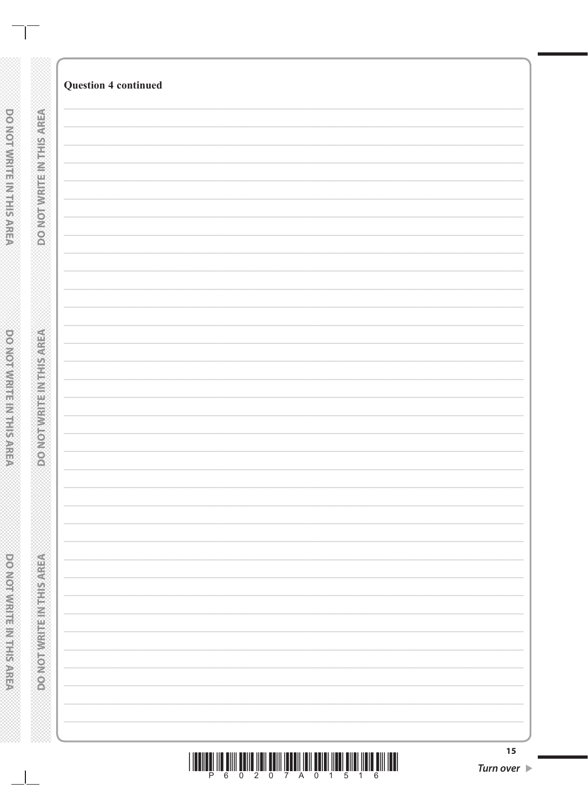| 15 |
|----|
|    |

 $\mathbf{I}$